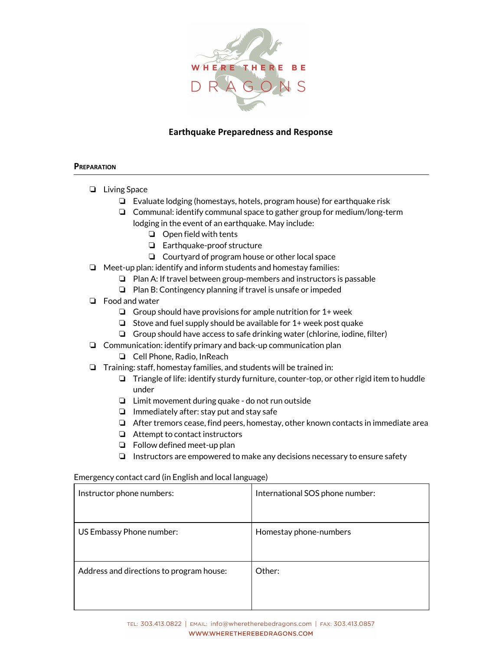

## Earthquake Preparedness and Response

#### **PREPARATION**

- ❏ Living Space
	- ❏ Evaluate lodging (homestays, hotels, program house) for earthquake risk
	- ❏ Communal: identify communal space to gather group for medium/long-term lodging in the event of an earthquake. May include:
		- ❏ Open field with tents
		- ❏ Earthquake-proof structure
		- ❏ Courtyard of program house or other local space
- ❏ Meet-up plan: identify and inform students and homestay families:
	- ❏ Plan A: If travel between group-members and instructors is passable
	- ❏ Plan B: Contingency planning if travel is unsafe or impeded
- ❏ Food and water
	- $\Box$  Group should have provisions for ample nutrition for  $1+$  week
	- $\Box$  Stove and fuel supply should be available for 1+ week post quake
	- ❏ Group should have access to safe drinking water (chlorine, iodine, filter)
- ❏ Communication: identify primary and back-up communication plan
	- ❏ Cell Phone, Radio, InReach
- ❏ Training: staff, homestay families, and students will be trained in:
	- ❏ Triangle of life: identify sturdy furniture, counter-top, or other rigid item to huddle under
	- ❏ Limit movement during quake do not run outside
	- ❏ Immediately after: stay put and stay safe
	- ❏ After tremors cease, find peers, homestay, other known contacts in immediate area
	- ❏ Attempt to contact instructors
	- ❏ Follow defined meet-up plan
	- ❏ Instructors are empowered to make any decisions necessary to ensure safety

#### Emergency contact card (in English and local language)

| Instructor phone numbers:                | International SOS phone number: |
|------------------------------------------|---------------------------------|
| US Embassy Phone number:                 | Homestay phone-numbers          |
| Address and directions to program house: | Other:                          |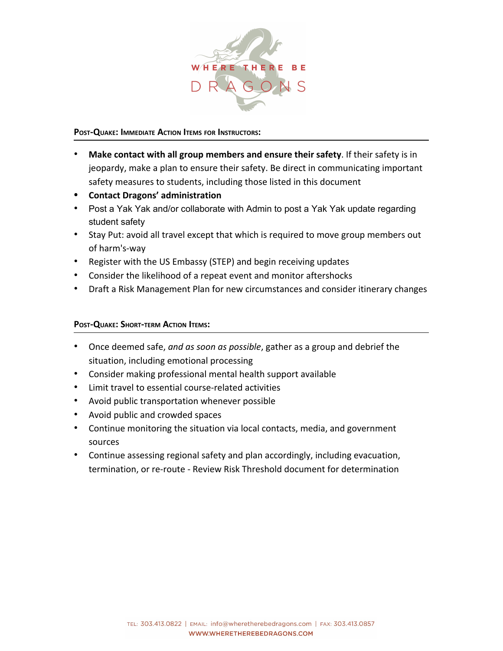

### POST-QUAKE: IMMEDIATE ACTION ITEMS FOR INSTRUCTORS:

- Make contact with all group members and ensure their safety. If their safety is in jeopardy, make a plan to ensure their safety. Be direct in communicating important safety measures to students, including those listed in this document
- Contact Dragons' administration
- Post a Yak Yak and/or collaborate with Admin to post a Yak Yak update regarding student safety
- Stay Put: avoid all travel except that which is required to move group members out of harm's-way
- Register with the US Embassy (STEP) and begin receiving updates
- Consider the likelihood of a repeat event and monitor aftershocks
- Draft a Risk Management Plan for new circumstances and consider itinerary changes

## POST-QUAKE: SHORT-TERM ACTION ITEMS:

- Once deemed safe, and as soon as possible, gather as a group and debrief the situation, including emotional processing
- Consider making professional mental health support available
- Limit travel to essential course-related activities
- Avoid public transportation whenever possible
- Avoid public and crowded spaces
- Continue monitoring the situation via local contacts, media, and government sources
- Continue assessing regional safety and plan accordingly, including evacuation, termination, or re-route - Review Risk Threshold document for determination